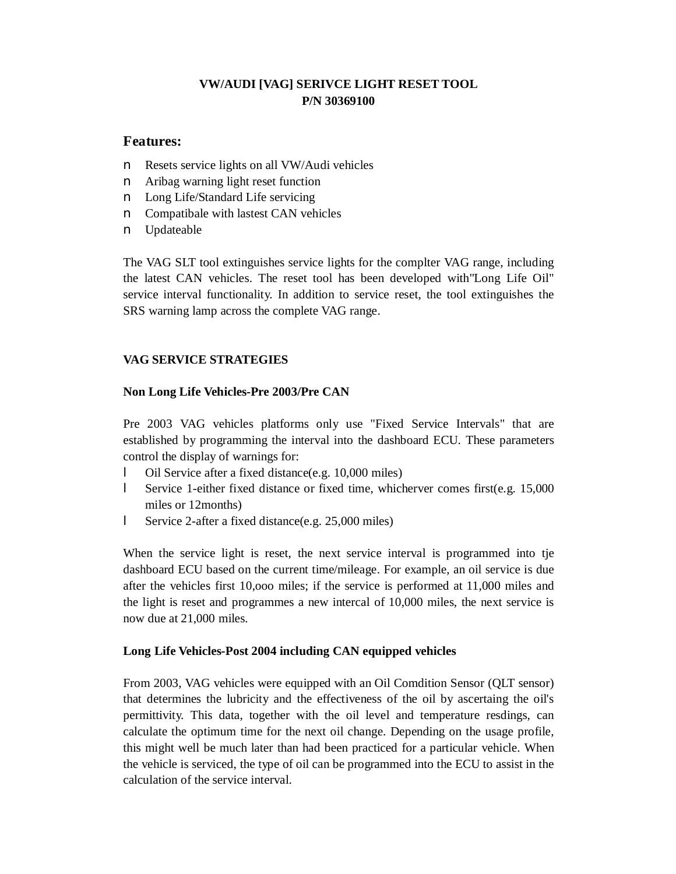## **VW/AUDI [VAG] SERIVCE LIGHT RESET TOOL P/N 30369100**

## **Features:**

- n Resets service lights on all VW/Audi vehicles
- n Aribag warning light reset function
- n Long Life/Standard Life servicing
- n Compatibale with lastest CAN vehicles
- n Updateable

The VAG SLT tool extinguishes service lights for the complter VAG range, including the latest CAN vehicles. The reset tool has been developed with"Long Life Oil" service interval functionality. In addition to service reset, the tool extinguishes the SRS warning lamp across the complete VAG range.

## **VAG SERVICE STRATEGIES**

## **Non Long Life Vehicles-Pre 2003/Pre CAN**

Pre 2003 VAG vehicles platforms only use "Fixed Service Intervals" that are established by programming the interval into the dashboard ECU. These parameters control the display of warnings for:

- Oil Service after a fixed distance(e.g. 10,000 miles)
- l Service 1-either fixed distance or fixed time, whicherver comes first(e.g. 15,000 miles or 12months)
- l Service 2-after a fixed distance(e.g. 25,000 miles)

When the service light is reset, the next service interval is programmed into tje dashboard ECU based on the current time/mileage. For example, an oil service is due after the vehicles first 10,ooo miles; if the service is performed at 11,000 miles and the light is reset and programmes a new intercal of 10,000 miles, the next service is now due at 21,000 miles.

#### **Long Life Vehicles-Post 2004 including CAN equipped vehicles**

From 2003, VAG vehicles were equipped with an Oil Comdition Sensor (QLT sensor) that determines the lubricity and the effectiveness of the oil by ascertaing the oil's permittivity. This data, together with the oil level and temperature resdings, can calculate the optimum time for the next oil change. Depending on the usage profile, this might well be much later than had been practiced for a particular vehicle. When the vehicle is serviced, the type of oil can be programmed into the ECU to assist in the calculation of the service interval.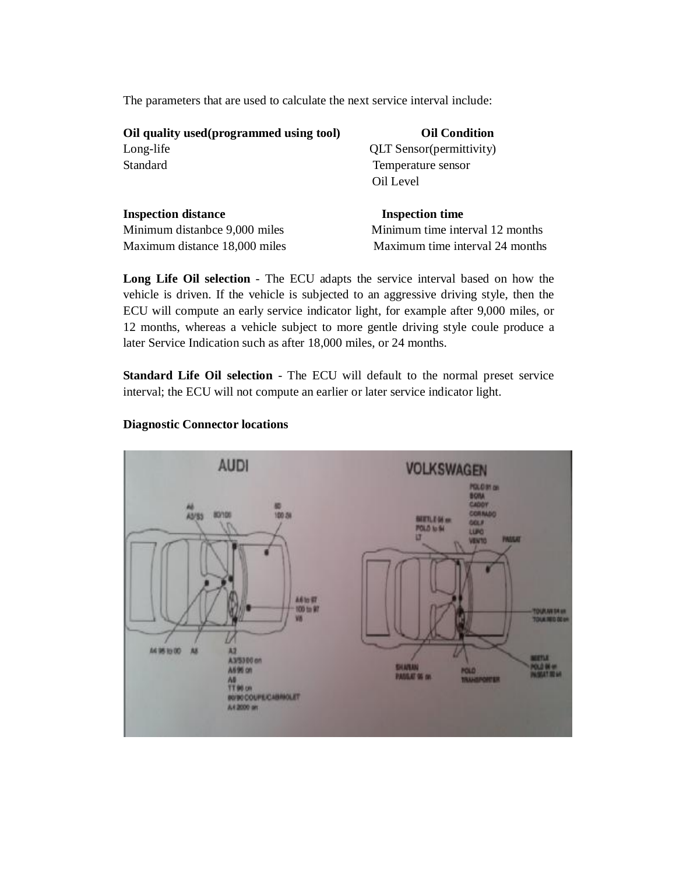The parameters that are used to calculate the next service interval include:

| Oil quality used (programmed using tool) | <b>Oil Condition</b>             |
|------------------------------------------|----------------------------------|
| Long-life                                | <b>QLT</b> Sensor (permittivity) |
| Standard                                 | Temperature sensor               |
|                                          | Oil Level                        |
|                                          |                                  |

| <b>Inspection distance</b>    | <b>Inspection time</b>          |
|-------------------------------|---------------------------------|
| Minimum distanbce 9,000 miles | Minimum time interval 12 months |
| Maximum distance 18,000 miles | Maximum time interval 24 months |

**Long Life Oil selection** - The ECU adapts the service interval based on how the vehicle is driven. If the vehicle is subjected to an aggressive driving style, then the ECU will compute an early service indicator light, for example after 9,000 miles, or 12 months, whereas a vehicle subject to more gentle driving style coule produce a later Service Indication such as after 18,000 miles, or 24 months.

**Standard Life Oil selection** - The ECU will default to the normal preset service interval; the ECU will not compute an earlier or later service indicator light.



#### **Diagnostic Connector locations**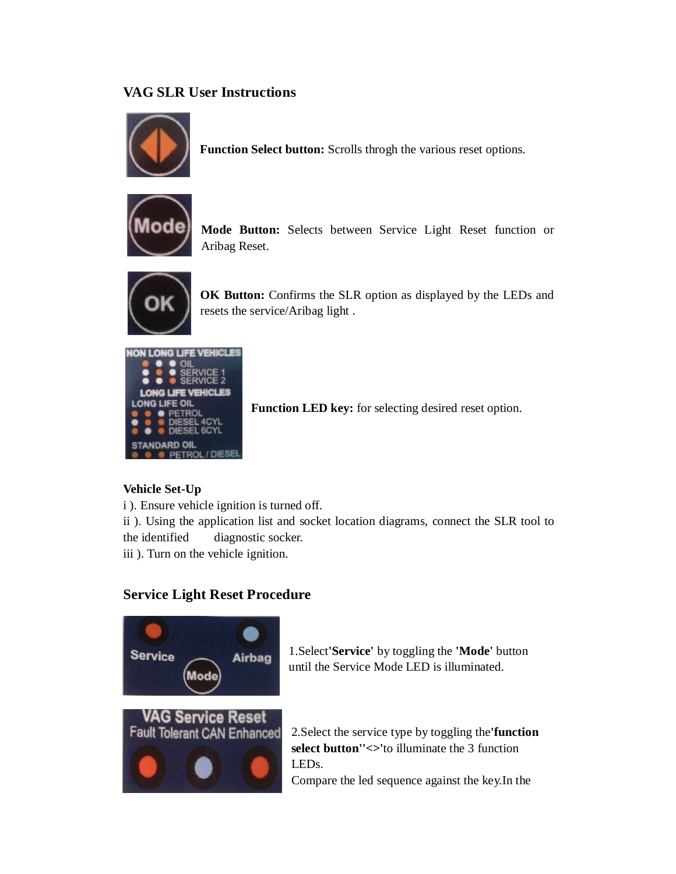# **VAG SLR User Instructions**



**Function Select button:** Scrolls throgh the various reset options.



**Mode Button:** Selects between Service Light Reset function or Aribag Reset.



**OK Button:** Confirms the SLR option as displayed by the LEDs and resets the service/Aribag light .



**Function LED key:** for selecting desired reset option.

## **Vehicle Set-Up**

i ). Ensure vehicle ignition is turned off.

ii ). Using the application list and socket location diagrams, connect the SLR tool to the identified diagnostic socker.

iii ). Turn on the vehicle ignition.

## **Service Light Reset Procedure**



1.Select**'Service'** by toggling the **'Mode'** button until the Service Mode LED is illuminated.

2.Select the service type by toggling the**'function select button''<>'**to illuminate the 3 function LEDs.

Compare the led sequence against the key.In the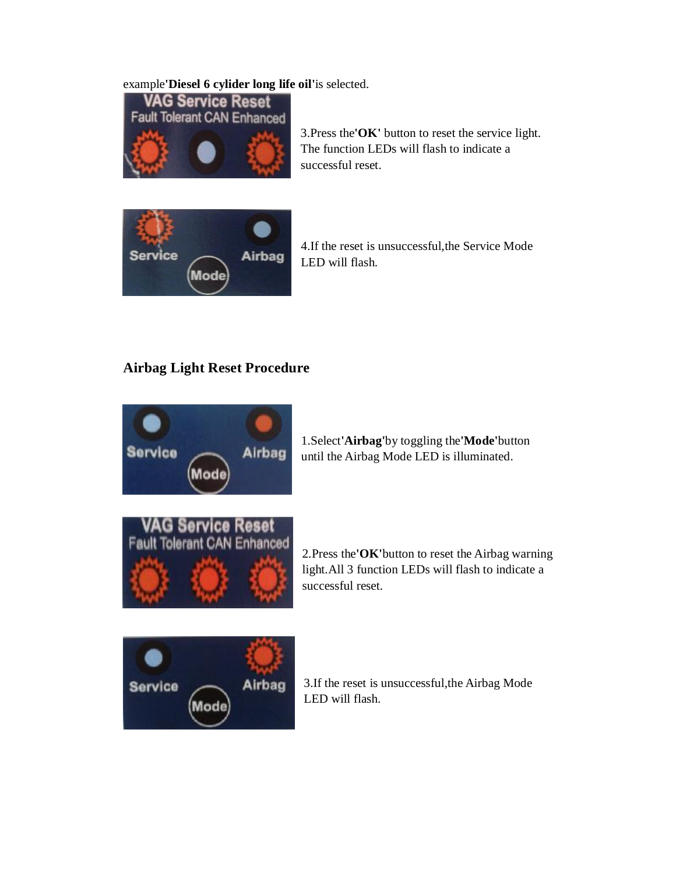## example**'Diesel 6 cylider long life oil'**is selected.



3.Press the**'OK'** button to reset the service light. The function LEDs will flash to indicate a successful reset.



4.If the reset is unsuccessful,the Service Mode LED will flash.

# **Airbag Light Reset Procedure**



1.Select**'Airbag'**by toggling the**'Mode'**button until the Airbag Mode LED is illuminated.



2.Press the**'OK'**button to reset the Airbag warning light.All 3 function LEDs will flash to indicate a successful reset.



3.If the reset is unsuccessful,the Airbag Mode LED will flash.